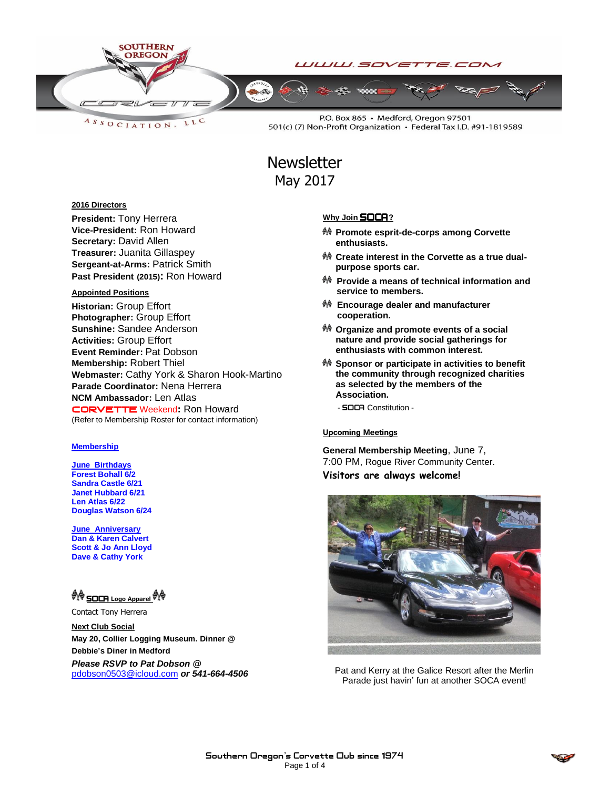

LLC ASSOCIATION.

P.O. Box 865 · Medford, Oregon 97501 501(c) (7) Non-Profit Organization · Federal Tax I.D. #91-1819589

## **Newsletter** May 2017

#### **2016 Directors**

**President:** Tony Herrera **Vice-President:** Ron Howard **Secretary:** David Allen **Treasurer:** Juanita Gillaspey **Sergeant-at-Arms:** Patrick Smith **Past President (2015):** Ron Howard

#### **Appointed Positions**

**Historian:** Group Effort **Photographer:** Group Effort **Sunshine:** Sandee Anderson **Activities:** Group Effort **Event Reminder:** Pat Dobson **Membership:** Robert Thiel **Webmaster:** Cathy York & Sharon Hook-Martino **Parade Coordinator:** Nena Herrera **NCM Ambassador:** Len Atlas CORVETTEWeekend**:** Ron Howard (Refer to Membership Roster for contact information)

#### **Membership**

**June Birthdays Forest Bohall 6/2 Sandra Castle 6/21 Janet Hubbard 6/21 Len Atlas 6/22 Douglas Watson 6/24**

**June Anniversary Dan & Karen Calvert Scott & Jo Ann Lloyd Dave & Cathy York**

### **AG** SOCA Logo Apparel **M**

Contact Tony Herrera

**Next Club Social May 20, Collier Logging Museum. Dinner @ Debbie's Diner in Medford**

*Please RSVP to Pat Dobson @*  [pdobson0503@icloud.com](mailto:pdobson0503@icloud.com) *or 541-664-4506*

#### **Why Join SOCA**?

- **Promote esprit-de-corps among Corvette enthusiasts.**
- **Create interest in the Corvette as a true dualpurpose sports car.**
- **Provide a means of technical information and service to members.**
- **Encourage dealer and manufacturer cooperation.**
- **Organize and promote events of a social nature and provide social gatherings for enthusiasts with common interest.**
- **Sponsor or participate in activities to benefit the community through recognized charities as selected by the members of the Association.**

- **SOCA** Constitution -

#### Upcoming Meetings

**General Membership Meeting**, June 7, 7:00 PM, Rogue River Community Center. **Visitors are always welcome!**



Pat and Kerry at the Galice Resort after the Merlin Parade just havin' fun at another SOCA event!

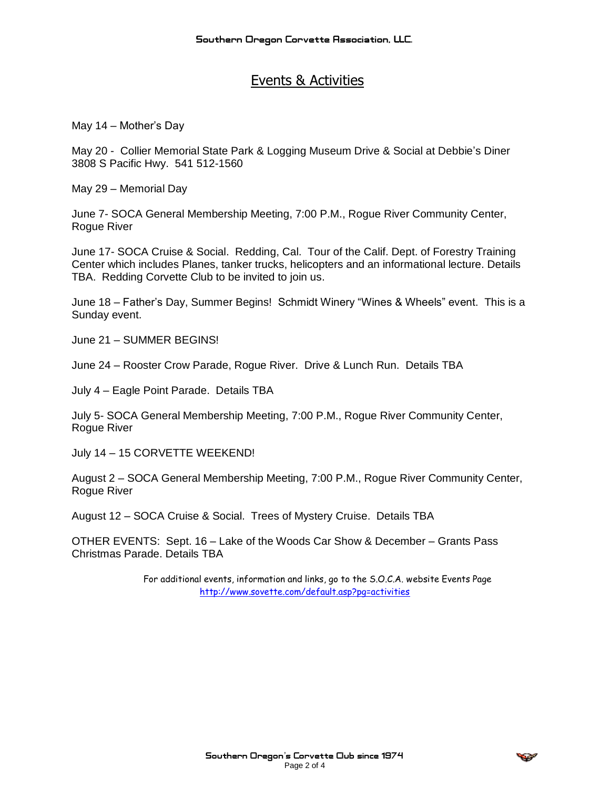## Events & Activities

May 14 – Mother's Day

May 20 - Collier Memorial State Park & Logging Museum Drive & Social at Debbie's Diner 3808 S Pacific Hwy. 541 512-1560

May 29 – Memorial Day

June 7- SOCA General Membership Meeting, 7:00 P.M., Rogue River Community Center, Rogue River

June 17- SOCA Cruise & Social. Redding, Cal. Tour of the Calif. Dept. of Forestry Training Center which includes Planes, tanker trucks, helicopters and an informational lecture. Details TBA. Redding Corvette Club to be invited to join us.

June 18 – Father's Day, Summer Begins! Schmidt Winery "Wines & Wheels" event. This is a Sunday event.

June 21 – SUMMER BEGINS!

June 24 – Rooster Crow Parade, Rogue River. Drive & Lunch Run. Details TBA

July 4 – Eagle Point Parade. Details TBA

July 5- SOCA General Membership Meeting, 7:00 P.M., Rogue River Community Center, Rogue River

July 14 – 15 CORVETTE WEEKEND!

August 2 – SOCA General Membership Meeting, 7:00 P.M., Rogue River Community Center, Rogue River

August 12 – SOCA Cruise & Social. Trees of Mystery Cruise. Details TBA

OTHER EVENTS: Sept. 16 – Lake of the Woods Car Show & December – Grants Pass Christmas Parade. Details TBA

> For additional events, information and links, go to the S.O.C.A. website Events Page <http://www.sovette.com/default.asp?pg=activities>

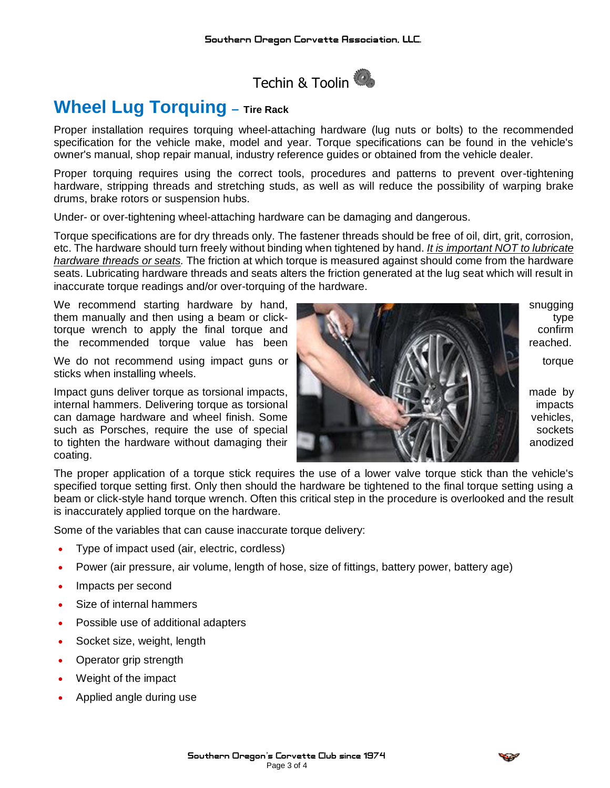

# **Wheel Lug Torquing – Tire Rack**

Proper installation requires torquing wheel-attaching hardware (lug nuts or bolts) to the recommended specification for the vehicle make, model and year. Torque specifications can be found in the vehicle's owner's manual, shop repair manual, industry reference guides or obtained from the vehicle dealer.

Proper torquing requires using the correct tools, procedures and patterns to prevent over-tightening hardware, stripping threads and stretching studs, as well as will reduce the possibility of warping brake drums, brake rotors or suspension hubs.

Under- or over-tightening wheel-attaching hardware can be damaging and dangerous.

Torque specifications are for dry threads only. The fastener threads should be free of oil, dirt, grit, corrosion, etc. The hardware should turn freely without binding when tightened by hand. *It is important NOT to lubricate hardware threads or seats.* The friction at which torque is measured against should come from the hardware seats. Lubricating hardware threads and seats alters the friction generated at the lug seat which will result in inaccurate torque readings and/or over-torquing of the hardware.

We recommend starting hardware by hand, some starting the snugging snugging them manually and then using a beam or click- the state of the state of type type torque wrench to apply the final torque and **confirm to the confirm confirm** confirm the recommended torque value has been **reached.** The reached.

sticks when installing wheels.

Impact guns deliver torque as torsional impacts, **made by the contract of the contract of the contract of the contract of the contract of the contract of the contract of the contract of the contract of the contract of the** internal hammers. Delivering torque as torsional **internal internal internal impacts** impacts can damage hardware and wheel finish. Some vehicles,  $\mathcal{L}(\mathbf{v})$  which we hicles, such as Porsches, require the use of special sockets such as  $\mathbb{R}^n$  sockets to tighten the hardware without damaging their and  $\mathbb{Q}$  anodized anodized coating.



The proper application of a torque stick requires the use of a lower valve torque stick than the vehicle's specified torque setting first. Only then should the hardware be tightened to the final torque setting using a beam or click-style hand torque wrench. Often this critical step in the procedure is overlooked and the result is inaccurately applied torque on the hardware.

Some of the variables that can cause inaccurate torque delivery:

- Type of impact used (air, electric, cordless)
- Power (air pressure, air volume, length of hose, size of fittings, battery power, battery age)
- Impacts per second
- Size of internal hammers
- Possible use of additional adapters
- Socket size, weight, length
- Operator grip strength
- Weight of the impact
- Applied angle during use